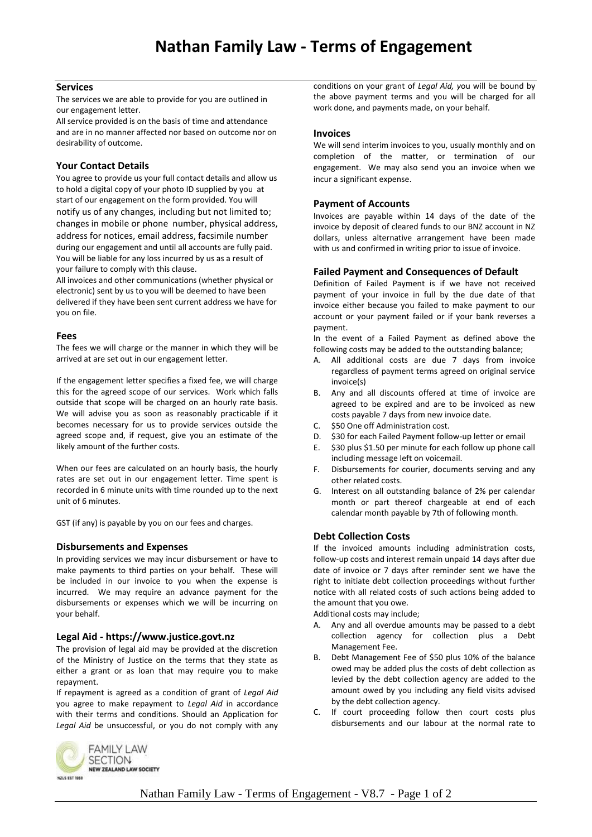#### **Services**

The services we are able to provide for you are outlined in our engagement letter.

All service provided is on the basis of time and attendance and are in no manner affected nor based on outcome nor on desirability of outcome.

# **Your Contact Details**

You agree to provide us your full contact details and allow us to hold a digital copy of your photo ID supplied by you at start of our engagement on the form provided. You will notify us of any changes, including but not limited to; changes in mobile or phone number, physical address, address for notices, email address, facsimile number during our engagement and until all accounts are fully paid. You will be liable for any loss incurred by us as a result of your failure to comply with this clause.

All invoices and other communications (whether physical or electronic) sent by us to you will be deemed to have been delivered if they have been sent current address we have for you on file.

#### **Fees**

The fees we will charge or the manner in which they will be arrived at are set out in our engagement letter.

If the engagement letter specifies a fixed fee, we will charge this for the agreed scope of our services. Work which falls outside that scope will be charged on an hourly rate basis. We will advise you as soon as reasonably practicable if it becomes necessary for us to provide services outside the agreed scope and, if request, give you an estimate of the likely amount of the further costs.

When our fees are calculated on an hourly basis, the hourly rates are set out in our engagement letter. Time spent is recorded in 6 minute units with time rounded up to the next unit of 6 minutes.

GST (if any) is payable by you on our fees and charges.

# **Disbursements and Expenses**

In providing services we may incur disbursement or have to make payments to third parties on your behalf. These will be included in our invoice to you when the expense is incurred. We may require an advance payment for the disbursements or expenses which we will be incurring on your behalf.

# **Legal Aid - https://www.justice.govt.nz**

The provision of legal aid may be provided at the discretion of the Ministry of Justice on the terms that they state as either a grant or as loan that may require you to make repayment.

If repayment is agreed as a condition of grant of *Legal Aid* you agree to make repayment to *Legal Aid* in accordance with their terms and conditions. Should an Application for *Legal Aid* be unsuccessful, or you do not comply with any



#### **Invoices**

We will send interim invoices to you, usually monthly and on completion of the matter, or termination of our engagement. We may also send you an invoice when we incur a significant expense.

#### **Payment of Accounts**

Invoices are payable within 14 days of the date of the invoice by deposit of cleared funds to our BNZ account in NZ dollars, unless alternative arrangement have been made with us and confirmed in writing prior to issue of invoice.

#### **Failed Payment and Consequences of Default**

Definition of Failed Payment is if we have not received payment of your invoice in full by the due date of that invoice either because you failed to make payment to our account or your payment failed or if your bank reverses a payment.

In the event of a Failed Payment as defined above the following costs may be added to the outstanding balance;

- A. All additional costs are due 7 days from invoice regardless of payment terms agreed on original service invoice(s)
- B. Any and all discounts offered at time of invoice are agreed to be expired and are to be invoiced as new costs payable 7 days from new invoice date.
- C. \$50 One off Administration cost.
- D. \$30 for each Failed Payment follow-up letter or email
- E. \$30 plus \$1.50 per minute for each follow up phone call including message left on voicemail.
- F. Disbursements for courier, documents serving and any other related costs.
- G. Interest on all outstanding balance of 2% per calendar month or part thereof chargeable at end of each calendar month payable by 7th of following month.

# **Debt Collection Costs**

If the invoiced amounts including administration costs, follow-up costs and interest remain unpaid 14 days after due date of invoice or 7 days after reminder sent we have the right to initiate debt collection proceedings without further notice with all related costs of such actions being added to the amount that you owe.

Additional costs may include;

- A. Any and all overdue amounts may be passed to a debt collection agency for collection plus a Debt Management Fee.
- B. Debt Management Fee of \$50 plus 10% of the balance owed may be added plus the costs of debt collection as levied by the debt collection agency are added to the amount owed by you including any field visits advised by the debt collection agency.
- C. If court proceeding follow then court costs plus disbursements and our labour at the normal rate to